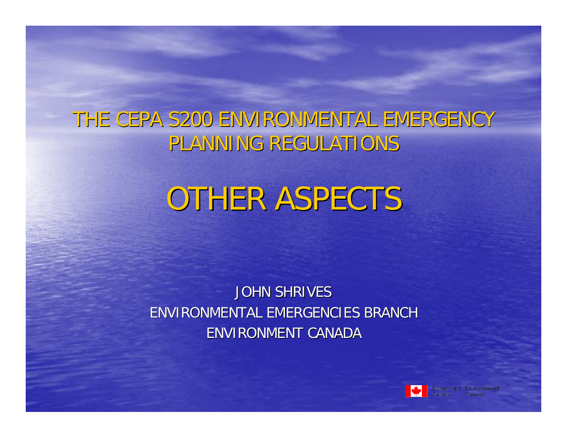THE CEPA S200 ENVIRONMENTAL EMERGENCY PLANNING REGULATIONS

# OTHER ASPECTS

*JOHN SHRIVES ENVIRONMENTAL EMERGENCIES BRANCH ENVIRONMENT CANADA*

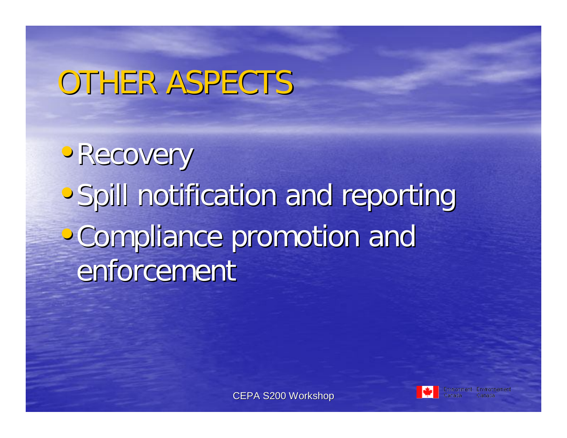## OTHER ASPECTS

• Recovery •Spill notification and reporting •Compliance promotion and enforcement

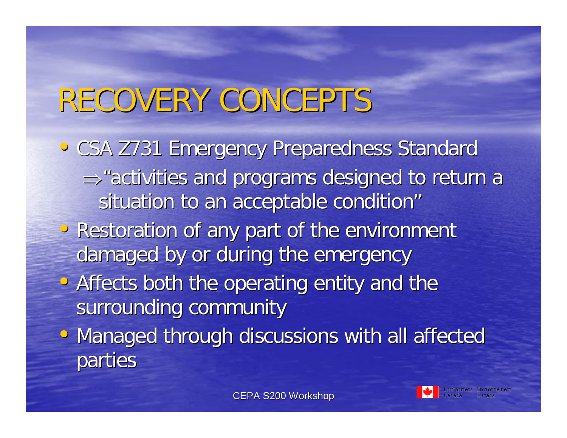# RECOVERY CONCEPTS

- CSA Z731 Emergency Preparedness Standard  $\Rightarrow$  "activities and programs designed to return a situation to an acceptable condition"
- Restoration of any part of the environment damaged by or during the emergency
- Affects both the operating entity and the surrounding community
- Managed through discussions with all affected parties

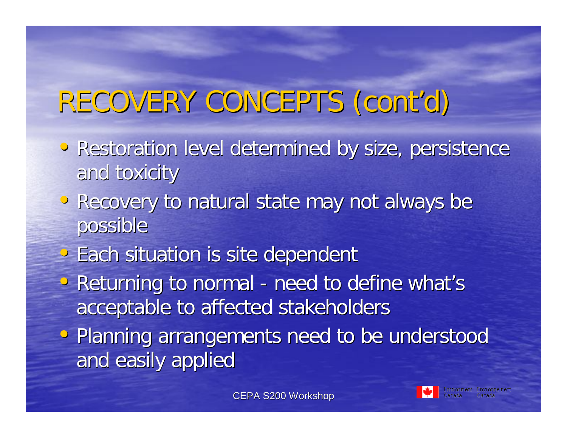- Restoration level determined by size, persistence and toxicity
- Recovery to natural state may not always be possible
- **Each situation is site dependent**
- Returning to normal need to define what's acceptable to affected stakeholders
- Planning arrangements need to be understood and easily applied

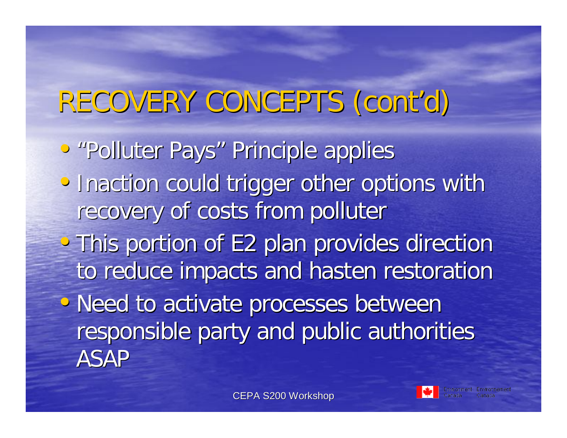- "Polluter Pays" Principle applies
- Inaction could trigger other options with recovery of costs from polluter
- This portion of E2 plan provides direction to reduce impacts and hasten restoration
- Need to activate processes between responsible party and public authorities ASAP

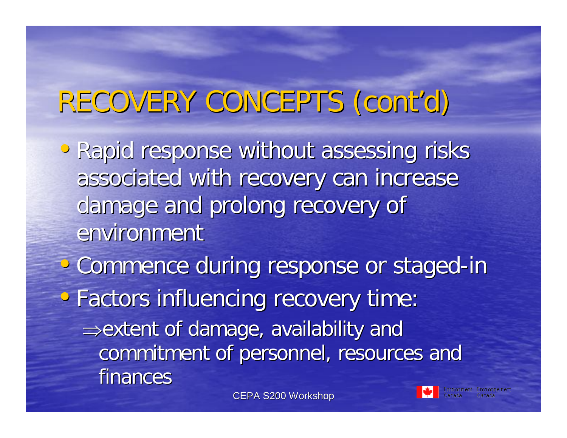• Rapid response without assessing risks associated with recovery can increase damage and prolong recovery of environment

• Commence during response or staged-in • Factors influencing recovery time:  $\Rightarrow$  extent of damage, availability and commitment of personnel, resources and finances

CEPA S200 Workshop

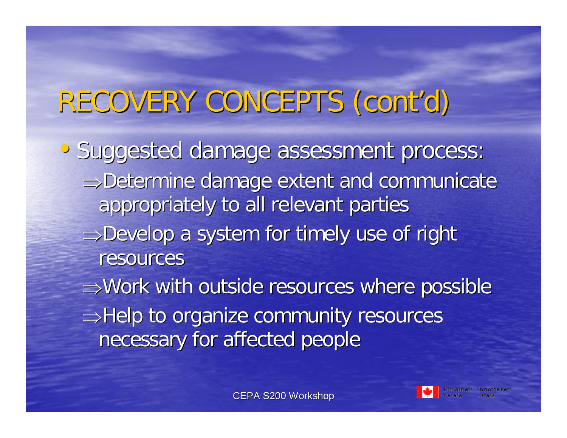• Suggested damage assessment process:  $\Rightarrow$  Determine damage extent and communicate appropriately to all relevant parties  $\Rightarrow$  Develop a system for timely use of right resources  $\Rightarrow$  Work with outside resources where possible

 $\Rightarrow$  Help to organize community resources necessary for affected people

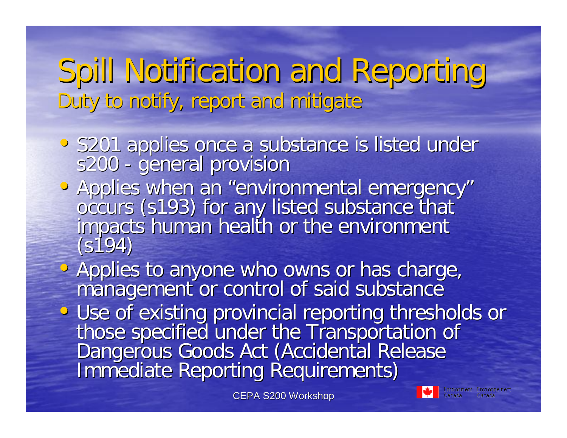#### Spill Notification and Reporting Duty to notify, report and mitigate

- S201 applies once a substance is listed under s200 - general provision
- Applies when an "environmental emergency" occurs (s193) for any listed substance that impacts human health or the environment  $(s194)$
- Applies to anyone who owns or has charge, management or control of said substance
- Use of existing provincial reporting thresholds or those specified under the Transportation of Dangerous Goods Act (Accidental Release Immediate Reporting Requirements)

CEPA S200 Workshop

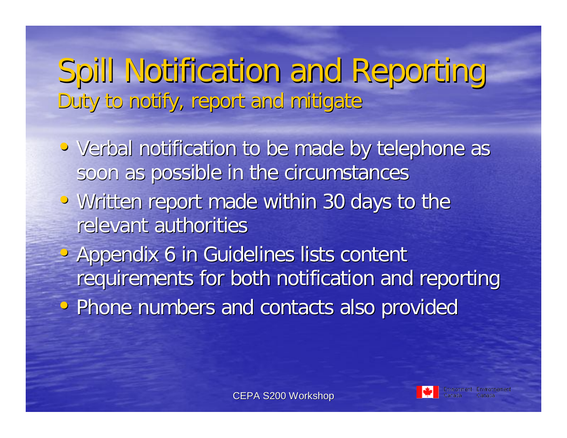#### Spill Notification and Reporting Duty to notify, report and mitigate

- Verbal notification to be made by telephone as soon as possible in the circumstances
- Written report made within 30 days to the relevant authorities
- Appendix 6 in Guidelines lists content requirements for both notification and reporting • Phone numbers and contacts also provided

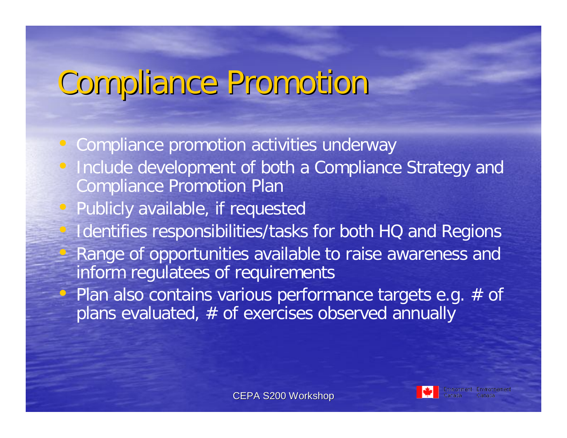## Compliance Promotion

Compliance promotion activities underway

- Include development of both a Compliance Strategy and Compliance Promotion Plan
	- Publicly available, if requested
	- Identifies responsibilities/tasks for both HQ and Regions Range of opportunities available to raise awareness and inform regulatees of requirements
	- Plan also contains various performance targets e.g. # of plans evaluated, # of exercises observed annually